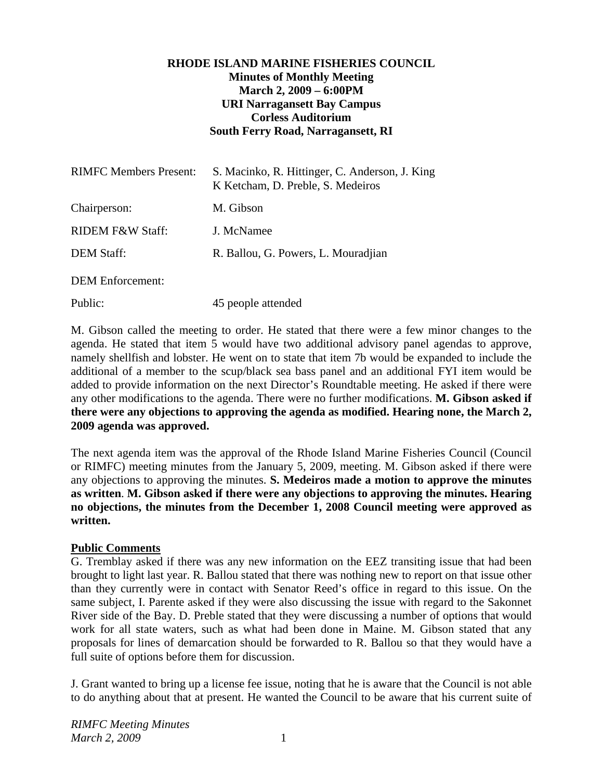# **RHODE ISLAND MARINE FISHERIES COUNCIL Minutes of Monthly Meeting March 2, 2009 – 6:00PM URI Narragansett Bay Campus Corless Auditorium South Ferry Road, Narragansett, RI**

| <b>RIMFC Members Present:</b> | S. Macinko, R. Hittinger, C. Anderson, J. King<br>K Ketcham, D. Preble, S. Medeiros |
|-------------------------------|-------------------------------------------------------------------------------------|
| Chairperson:                  | M. Gibson                                                                           |
| RIDEM F&W Staff:              | J. McNamee                                                                          |
| <b>DEM Staff:</b>             | R. Ballou, G. Powers, L. Mouradjian                                                 |
| <b>DEM</b> Enforcement:       |                                                                                     |

Public: 45 people attended

M. Gibson called the meeting to order. He stated that there were a few minor changes to the agenda. He stated that item 5 would have two additional advisory panel agendas to approve, namely shellfish and lobster. He went on to state that item 7b would be expanded to include the additional of a member to the scup/black sea bass panel and an additional FYI item would be added to provide information on the next Director's Roundtable meeting. He asked if there were any other modifications to the agenda. There were no further modifications. **M. Gibson asked if there were any objections to approving the agenda as modified. Hearing none, the March 2, 2009 agenda was approved.**

The next agenda item was the approval of the Rhode Island Marine Fisheries Council (Council or RIMFC) meeting minutes from the January 5, 2009, meeting. M. Gibson asked if there were any objections to approving the minutes. **S. Medeiros made a motion to approve the minutes as written**. **M. Gibson asked if there were any objections to approving the minutes. Hearing no objections, the minutes from the December 1, 2008 Council meeting were approved as written.** 

### **Public Comments**

G. Tremblay asked if there was any new information on the EEZ transiting issue that had been brought to light last year. R. Ballou stated that there was nothing new to report on that issue other than they currently were in contact with Senator Reed's office in regard to this issue. On the same subject, I. Parente asked if they were also discussing the issue with regard to the Sakonnet River side of the Bay. D. Preble stated that they were discussing a number of options that would work for all state waters, such as what had been done in Maine. M. Gibson stated that any proposals for lines of demarcation should be forwarded to R. Ballou so that they would have a full suite of options before them for discussion.

J. Grant wanted to bring up a license fee issue, noting that he is aware that the Council is not able to do anything about that at present. He wanted the Council to be aware that his current suite of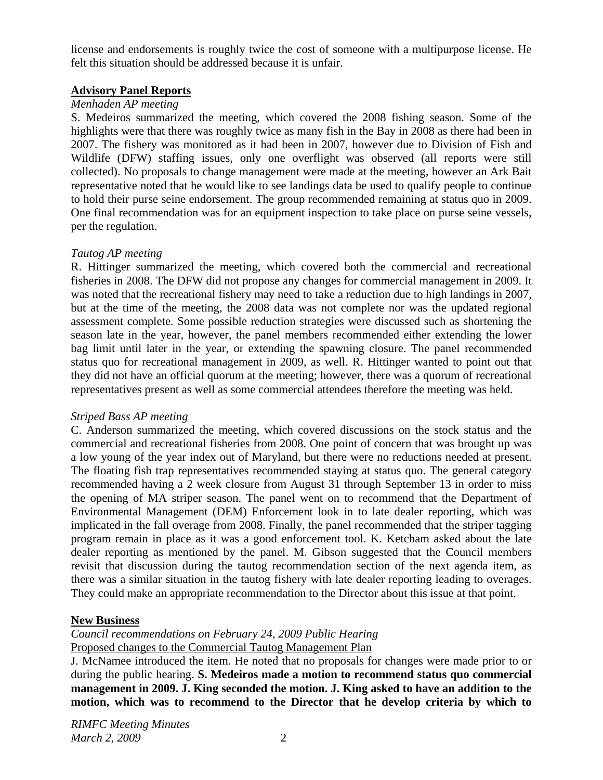license and endorsements is roughly twice the cost of someone with a multipurpose license. He felt this situation should be addressed because it is unfair.

# **Advisory Panel Reports**

# *Menhaden AP meeting*

S. Medeiros summarized the meeting, which covered the 2008 fishing season. Some of the highlights were that there was roughly twice as many fish in the Bay in 2008 as there had been in 2007. The fishery was monitored as it had been in 2007, however due to Division of Fish and Wildlife (DFW) staffing issues, only one overflight was observed (all reports were still collected). No proposals to change management were made at the meeting, however an Ark Bait representative noted that he would like to see landings data be used to qualify people to continue to hold their purse seine endorsement. The group recommended remaining at status quo in 2009. One final recommendation was for an equipment inspection to take place on purse seine vessels, per the regulation.

# *Tautog AP meeting*

R. Hittinger summarized the meeting, which covered both the commercial and recreational fisheries in 2008. The DFW did not propose any changes for commercial management in 2009. It was noted that the recreational fishery may need to take a reduction due to high landings in 2007, but at the time of the meeting, the 2008 data was not complete nor was the updated regional assessment complete. Some possible reduction strategies were discussed such as shortening the season late in the year, however, the panel members recommended either extending the lower bag limit until later in the year, or extending the spawning closure. The panel recommended status quo for recreational management in 2009, as well. R. Hittinger wanted to point out that they did not have an official quorum at the meeting; however, there was a quorum of recreational representatives present as well as some commercial attendees therefore the meeting was held.

### *Striped Bass AP meeting*

C. Anderson summarized the meeting, which covered discussions on the stock status and the commercial and recreational fisheries from 2008. One point of concern that was brought up was a low young of the year index out of Maryland, but there were no reductions needed at present. The floating fish trap representatives recommended staying at status quo. The general category recommended having a 2 week closure from August 31 through September 13 in order to miss the opening of MA striper season. The panel went on to recommend that the Department of Environmental Management (DEM) Enforcement look in to late dealer reporting, which was implicated in the fall overage from 2008. Finally, the panel recommended that the striper tagging program remain in place as it was a good enforcement tool. K. Ketcham asked about the late dealer reporting as mentioned by the panel. M. Gibson suggested that the Council members revisit that discussion during the tautog recommendation section of the next agenda item, as there was a similar situation in the tautog fishery with late dealer reporting leading to overages. They could make an appropriate recommendation to the Director about this issue at that point.

# **New Business**

*Council recommendations on February 24, 2009 Public Hearing*  Proposed changes to the Commercial Tautog Management Plan

J. McNamee introduced the item. He noted that no proposals for changes were made prior to or during the public hearing. **S. Medeiros made a motion to recommend status quo commercial management in 2009. J. King seconded the motion. J. King asked to have an addition to the motion, which was to recommend to the Director that he develop criteria by which to**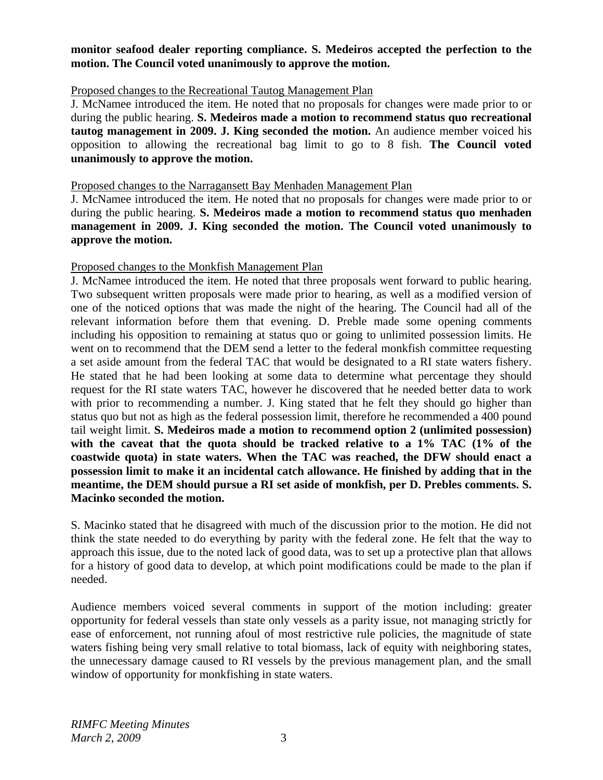# **monitor seafood dealer reporting compliance. S. Medeiros accepted the perfection to the motion. The Council voted unanimously to approve the motion.**

# Proposed changes to the Recreational Tautog Management Plan

J. McNamee introduced the item. He noted that no proposals for changes were made prior to or during the public hearing. **S. Medeiros made a motion to recommend status quo recreational tautog management in 2009. J. King seconded the motion.** An audience member voiced his opposition to allowing the recreational bag limit to go to 8 fish. **The Council voted unanimously to approve the motion.**

#### Proposed changes to the Narragansett Bay Menhaden Management Plan

J. McNamee introduced the item. He noted that no proposals for changes were made prior to or during the public hearing. **S. Medeiros made a motion to recommend status quo menhaden management in 2009. J. King seconded the motion. The Council voted unanimously to approve the motion.**

### Proposed changes to the Monkfish Management Plan

J. McNamee introduced the item. He noted that three proposals went forward to public hearing. Two subsequent written proposals were made prior to hearing, as well as a modified version of one of the noticed options that was made the night of the hearing. The Council had all of the relevant information before them that evening. D. Preble made some opening comments including his opposition to remaining at status quo or going to unlimited possession limits. He went on to recommend that the DEM send a letter to the federal monkfish committee requesting a set aside amount from the federal TAC that would be designated to a RI state waters fishery. He stated that he had been looking at some data to determine what percentage they should request for the RI state waters TAC, however he discovered that he needed better data to work with prior to recommending a number. J. King stated that he felt they should go higher than status quo but not as high as the federal possession limit, therefore he recommended a 400 pound tail weight limit. **S. Medeiros made a motion to recommend option 2 (unlimited possession) with the caveat that the quota should be tracked relative to a 1% TAC (1% of the coastwide quota) in state waters. When the TAC was reached, the DFW should enact a possession limit to make it an incidental catch allowance. He finished by adding that in the meantime, the DEM should pursue a RI set aside of monkfish, per D. Prebles comments. S. Macinko seconded the motion.** 

S. Macinko stated that he disagreed with much of the discussion prior to the motion. He did not think the state needed to do everything by parity with the federal zone. He felt that the way to approach this issue, due to the noted lack of good data, was to set up a protective plan that allows for a history of good data to develop, at which point modifications could be made to the plan if needed.

Audience members voiced several comments in support of the motion including: greater opportunity for federal vessels than state only vessels as a parity issue, not managing strictly for ease of enforcement, not running afoul of most restrictive rule policies, the magnitude of state waters fishing being very small relative to total biomass, lack of equity with neighboring states, the unnecessary damage caused to RI vessels by the previous management plan, and the small window of opportunity for monkfishing in state waters.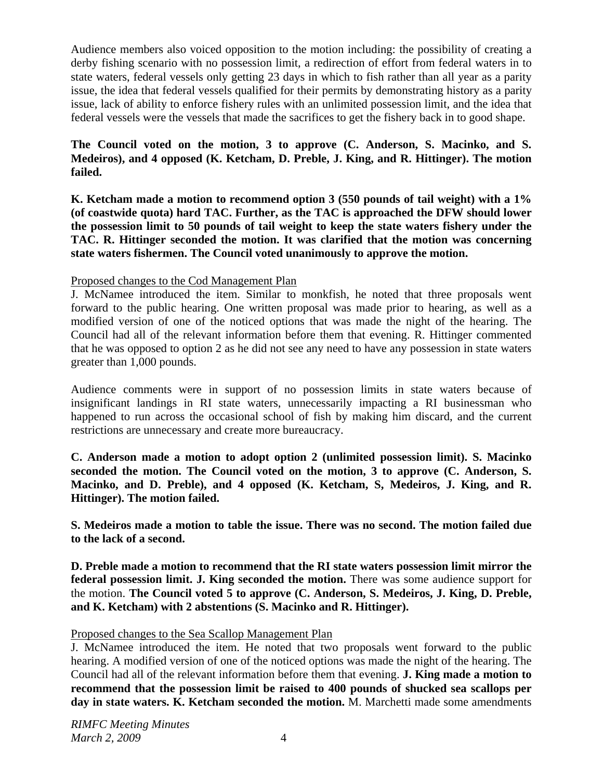Audience members also voiced opposition to the motion including: the possibility of creating a derby fishing scenario with no possession limit, a redirection of effort from federal waters in to state waters, federal vessels only getting 23 days in which to fish rather than all year as a parity issue, the idea that federal vessels qualified for their permits by demonstrating history as a parity issue, lack of ability to enforce fishery rules with an unlimited possession limit, and the idea that federal vessels were the vessels that made the sacrifices to get the fishery back in to good shape.

**The Council voted on the motion, 3 to approve (C. Anderson, S. Macinko, and S. Medeiros), and 4 opposed (K. Ketcham, D. Preble, J. King, and R. Hittinger). The motion failed.** 

**K. Ketcham made a motion to recommend option 3 (550 pounds of tail weight) with a 1% (of coastwide quota) hard TAC. Further, as the TAC is approached the DFW should lower the possession limit to 50 pounds of tail weight to keep the state waters fishery under the TAC. R. Hittinger seconded the motion. It was clarified that the motion was concerning state waters fishermen. The Council voted unanimously to approve the motion.** 

Proposed changes to the Cod Management Plan

J. McNamee introduced the item. Similar to monkfish, he noted that three proposals went forward to the public hearing. One written proposal was made prior to hearing, as well as a modified version of one of the noticed options that was made the night of the hearing. The Council had all of the relevant information before them that evening. R. Hittinger commented that he was opposed to option 2 as he did not see any need to have any possession in state waters greater than 1,000 pounds.

Audience comments were in support of no possession limits in state waters because of insignificant landings in RI state waters, unnecessarily impacting a RI businessman who happened to run across the occasional school of fish by making him discard, and the current restrictions are unnecessary and create more bureaucracy.

**C. Anderson made a motion to adopt option 2 (unlimited possession limit). S. Macinko seconded the motion. The Council voted on the motion, 3 to approve (C. Anderson, S. Macinko, and D. Preble), and 4 opposed (K. Ketcham, S, Medeiros, J. King, and R. Hittinger). The motion failed.**

**S. Medeiros made a motion to table the issue. There was no second. The motion failed due to the lack of a second.** 

**D. Preble made a motion to recommend that the RI state waters possession limit mirror the federal possession limit. J. King seconded the motion.** There was some audience support for the motion. **The Council voted 5 to approve (C. Anderson, S. Medeiros, J. King, D. Preble, and K. Ketcham) with 2 abstentions (S. Macinko and R. Hittinger).** 

# Proposed changes to the Sea Scallop Management Plan

J. McNamee introduced the item. He noted that two proposals went forward to the public hearing. A modified version of one of the noticed options was made the night of the hearing. The Council had all of the relevant information before them that evening. **J. King made a motion to recommend that the possession limit be raised to 400 pounds of shucked sea scallops per day in state waters. K. Ketcham seconded the motion.** M. Marchetti made some amendments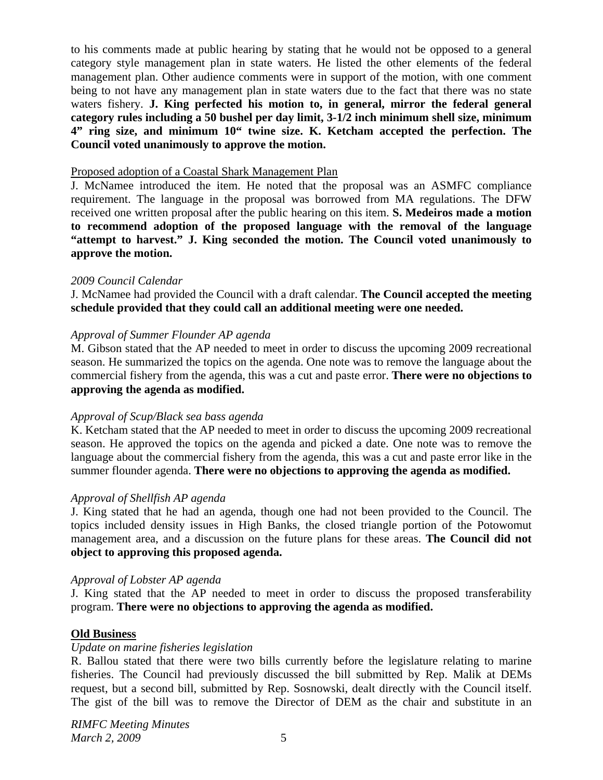to his comments made at public hearing by stating that he would not be opposed to a general category style management plan in state waters. He listed the other elements of the federal management plan. Other audience comments were in support of the motion, with one comment being to not have any management plan in state waters due to the fact that there was no state waters fishery. **J. King perfected his motion to, in general, mirror the federal general category rules including a 50 bushel per day limit, 3-1/2 inch minimum shell size, minimum 4" ring size, and minimum 10" twine size. K. Ketcham accepted the perfection. The Council voted unanimously to approve the motion.**

#### Proposed adoption of a Coastal Shark Management Plan

J. McNamee introduced the item. He noted that the proposal was an ASMFC compliance requirement. The language in the proposal was borrowed from MA regulations. The DFW received one written proposal after the public hearing on this item. **S. Medeiros made a motion to recommend adoption of the proposed language with the removal of the language "attempt to harvest." J. King seconded the motion. The Council voted unanimously to approve the motion.**

#### *2009 Council Calendar*

J. McNamee had provided the Council with a draft calendar. **The Council accepted the meeting schedule provided that they could call an additional meeting were one needed.**

### *Approval of Summer Flounder AP agenda*

M. Gibson stated that the AP needed to meet in order to discuss the upcoming 2009 recreational season. He summarized the topics on the agenda. One note was to remove the language about the commercial fishery from the agenda, this was a cut and paste error. **There were no objections to approving the agenda as modified.** 

### *Approval of Scup/Black sea bass agenda*

K. Ketcham stated that the AP needed to meet in order to discuss the upcoming 2009 recreational season. He approved the topics on the agenda and picked a date. One note was to remove the language about the commercial fishery from the agenda, this was a cut and paste error like in the summer flounder agenda. **There were no objections to approving the agenda as modified.** 

### *Approval of Shellfish AP agenda*

J. King stated that he had an agenda, though one had not been provided to the Council. The topics included density issues in High Banks, the closed triangle portion of the Potowomut management area, and a discussion on the future plans for these areas. **The Council did not object to approving this proposed agenda.** 

### *Approval of Lobster AP agenda*

J. King stated that the AP needed to meet in order to discuss the proposed transferability program. **There were no objections to approving the agenda as modified.** 

### **Old Business**

### *Update on marine fisheries legislation*

R. Ballou stated that there were two bills currently before the legislature relating to marine fisheries. The Council had previously discussed the bill submitted by Rep. Malik at DEMs request, but a second bill, submitted by Rep. Sosnowski, dealt directly with the Council itself. The gist of the bill was to remove the Director of DEM as the chair and substitute in an

*RIMFC Meeting Minutes March* 2, 2009 5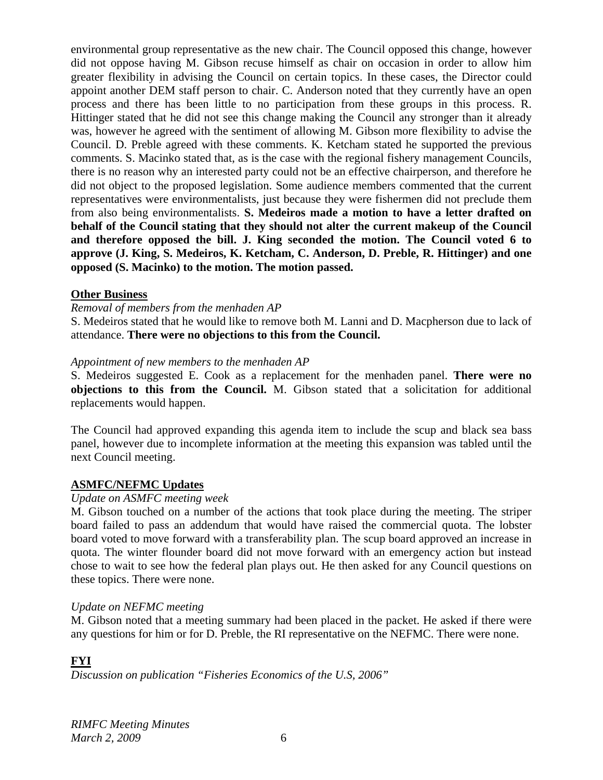environmental group representative as the new chair. The Council opposed this change, however did not oppose having M. Gibson recuse himself as chair on occasion in order to allow him greater flexibility in advising the Council on certain topics. In these cases, the Director could appoint another DEM staff person to chair. C. Anderson noted that they currently have an open process and there has been little to no participation from these groups in this process. R. Hittinger stated that he did not see this change making the Council any stronger than it already was, however he agreed with the sentiment of allowing M. Gibson more flexibility to advise the Council. D. Preble agreed with these comments. K. Ketcham stated he supported the previous comments. S. Macinko stated that, as is the case with the regional fishery management Councils, there is no reason why an interested party could not be an effective chairperson, and therefore he did not object to the proposed legislation. Some audience members commented that the current representatives were environmentalists, just because they were fishermen did not preclude them from also being environmentalists. **S. Medeiros made a motion to have a letter drafted on behalf of the Council stating that they should not alter the current makeup of the Council and therefore opposed the bill. J. King seconded the motion. The Council voted 6 to approve (J. King, S. Medeiros, K. Ketcham, C. Anderson, D. Preble, R. Hittinger) and one opposed (S. Macinko) to the motion. The motion passed.**

### **Other Business**

### *Removal of members from the menhaden AP*

S. Medeiros stated that he would like to remove both M. Lanni and D. Macpherson due to lack of attendance. **There were no objections to this from the Council.**

#### *Appointment of new members to the menhaden AP*

S. Medeiros suggested E. Cook as a replacement for the menhaden panel. **There were no objections to this from the Council.** M. Gibson stated that a solicitation for additional replacements would happen.

The Council had approved expanding this agenda item to include the scup and black sea bass panel, however due to incomplete information at the meeting this expansion was tabled until the next Council meeting.

### **ASMFC/NEFMC Updates**

#### *Update on ASMFC meeting week*

M. Gibson touched on a number of the actions that took place during the meeting. The striper board failed to pass an addendum that would have raised the commercial quota. The lobster board voted to move forward with a transferability plan. The scup board approved an increase in quota. The winter flounder board did not move forward with an emergency action but instead chose to wait to see how the federal plan plays out. He then asked for any Council questions on these topics. There were none.

### *Update on NEFMC meeting*

M. Gibson noted that a meeting summary had been placed in the packet. He asked if there were any questions for him or for D. Preble, the RI representative on the NEFMC. There were none.

# **FYI**

*Discussion on publication "Fisheries Economics of the U.S, 2006"*